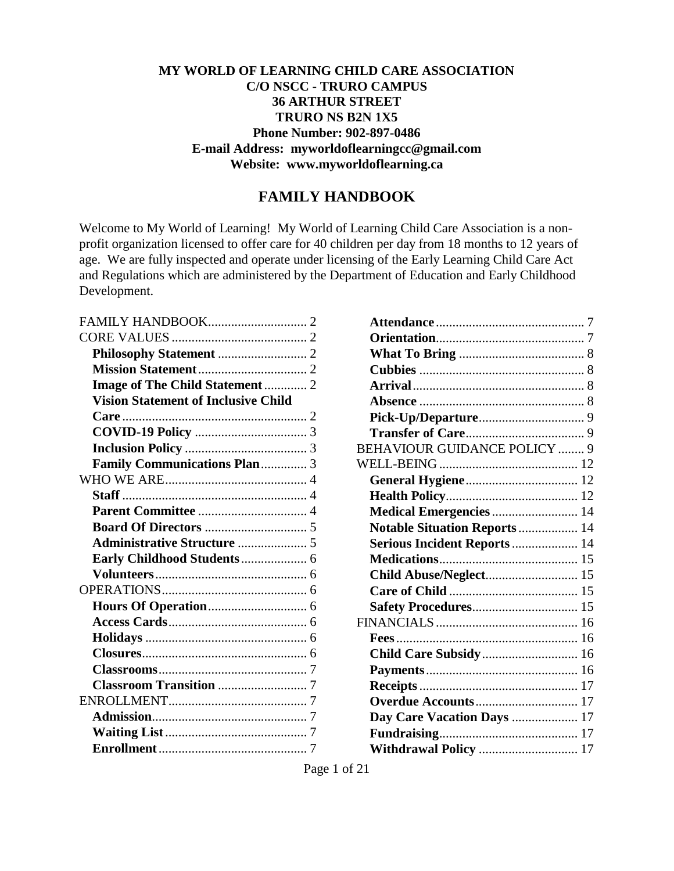#### **MY WORLD OF LEARNING CHILD CARE ASSOCIATION C/O NSCC - TRURO CAMPUS 36 ARTHUR STREET TRURO NS B2N 1X5 Phone Number: 902-897-0486 E-mail Address: [myworldoflearningcc@gmail.com](mailto:myworldoflearningcc@gmail.com) Website: www.myworldoflearning.ca**

#### **FAMILY HANDBOOK**

Welcome to My World of Learning! My World of Learning Child Care Association is a nonprofit organization licensed to offer care for 40 children per day from 18 months to 12 years of age. We are fully inspected and operate under licensing of the Early Learning Child Care Act and Regulations which are administered by the Department of Education and Early Childhood Development.

| Image of The Child Statement  2            |  |
|--------------------------------------------|--|
| <b>Vision Statement of Inclusive Child</b> |  |
|                                            |  |
|                                            |  |
|                                            |  |
| Family Communications Plan 3               |  |
|                                            |  |
|                                            |  |
|                                            |  |
|                                            |  |
|                                            |  |
|                                            |  |
|                                            |  |
|                                            |  |
|                                            |  |
|                                            |  |
|                                            |  |
|                                            |  |
|                                            |  |
|                                            |  |
|                                            |  |
|                                            |  |
|                                            |  |
|                                            |  |

| <b>BEHAVIOUR GUIDANCE POLICY  9</b> |  |
|-------------------------------------|--|
|                                     |  |
|                                     |  |
|                                     |  |
| Medical Emergencies  14             |  |
| Notable Situation Reports 14        |  |
| Serious Incident Reports 14         |  |
|                                     |  |
| Child Abuse/Neglect 15              |  |
|                                     |  |
|                                     |  |
|                                     |  |
|                                     |  |
| <b>Child Care Subsidy 16</b>        |  |
|                                     |  |
|                                     |  |
|                                     |  |
| Day Care Vacation Days  17          |  |
|                                     |  |
| Withdrawal Policy  17               |  |
|                                     |  |

Page 1 of 21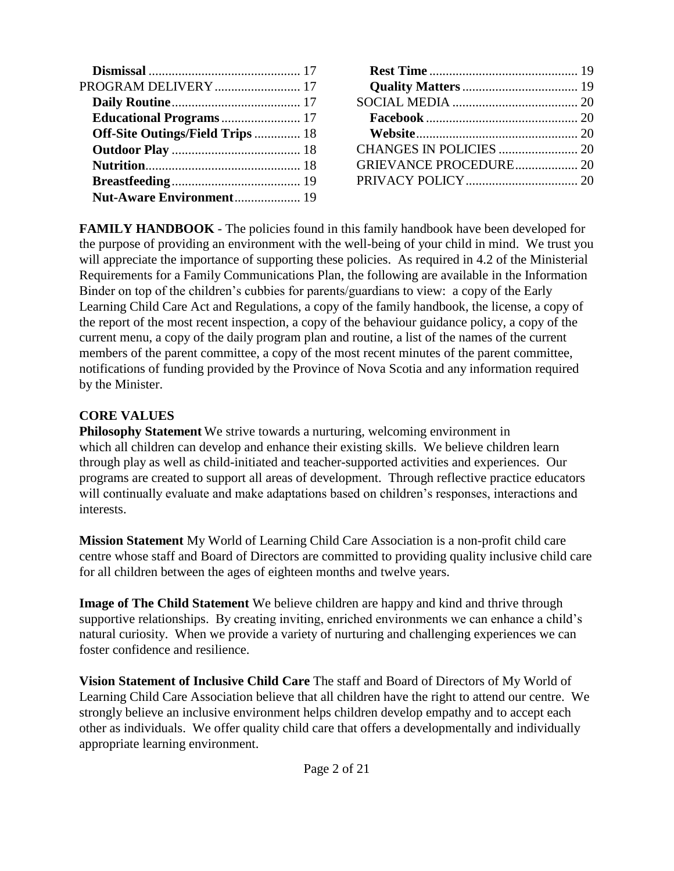| PROGRAM DELIVERY  17                    |  |
|-----------------------------------------|--|
|                                         |  |
| <b>Educational Programs</b> 17          |  |
| <b>Off-Site Outings/Field Trips  18</b> |  |
|                                         |  |
|                                         |  |
|                                         |  |
| <b>Nut-Aware Environment 19</b>         |  |

| <b>GRIEVANCE PROCEDURE 20</b> |  |
|-------------------------------|--|
|                               |  |
|                               |  |

<span id="page-1-0"></span>**FAMILY HANDBOOK** - The policies found in this family handbook have been developed for the purpose of providing an environment with the well-being of your child in mind. We trust you will appreciate the importance of supporting these policies. As required in 4.2 of the Ministerial Requirements for a Family Communications Plan, the following are available in the Information Binder on top of the children's cubbies for parents/guardians to view: a copy of the Early Learning Child Care Act and Regulations, a copy of the family handbook, the license, a copy of the report of the most recent inspection, a copy of the behaviour guidance policy, a copy of the current menu, a copy of the daily program plan and routine, a list of the names of the current members of the parent committee, a copy of the most recent minutes of the parent committee, notifications of funding provided by the Province of Nova Scotia and any information required by the Minister.

## <span id="page-1-1"></span>**CORE VALUES**

<span id="page-1-2"></span>**Philosophy Statement** We strive towards a nurturing, welcoming environment in which all children can develop and enhance their existing skills. We believe children learn through play as well as child-initiated and teacher-supported activities and experiences. Our programs are created to support all areas of development. Through reflective practice educators will continually evaluate and make adaptations based on children's responses, interactions and interests.

<span id="page-1-3"></span>**Mission Statement** My World of Learning Child Care Association is a non-profit child care centre whose staff and Board of Directors are committed to providing quality inclusive child care for all children between the ages of eighteen months and twelve years.

<span id="page-1-4"></span>**Image of The Child Statement** We believe children are happy and kind and thrive through supportive relationships. By creating inviting, enriched environments we can enhance a child's natural curiosity. When we provide a variety of nurturing and challenging experiences we can foster confidence and resilience.

<span id="page-1-5"></span>**Vision Statement of Inclusive Child Care** The staff and Board of Directors of My World of Learning Child Care Association believe that all children have the right to attend our centre. We strongly believe an inclusive environment helps children develop empathy and to accept each other as individuals. We offer quality child care that offers a developmentally and individually appropriate learning environment.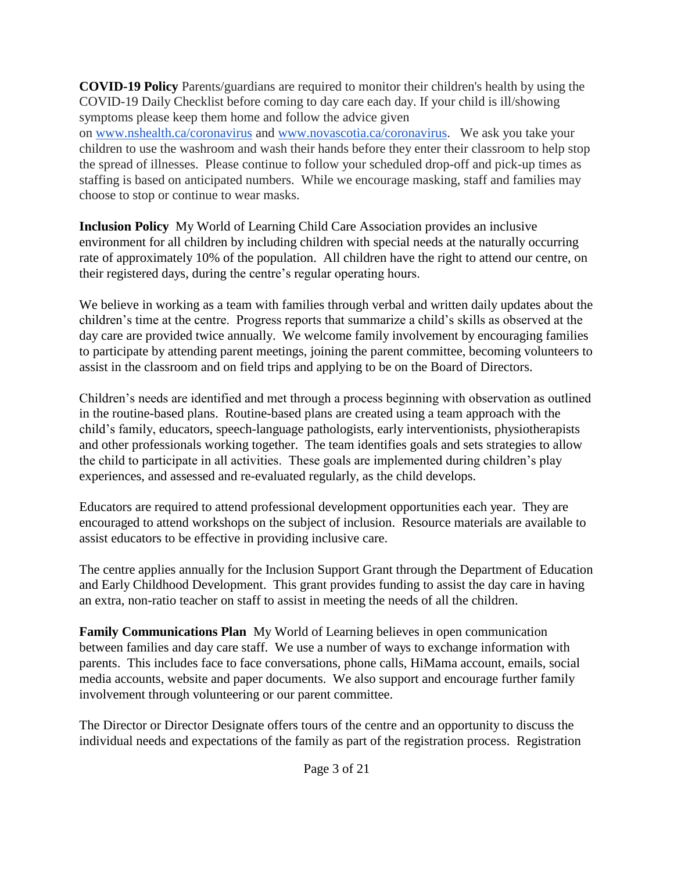<span id="page-2-0"></span>**COVID-19 Policy** Parents/guardians are required to monitor their children's health by using the COVID-19 Daily Checklist before coming to day care each day. If your child is ill/showing symptoms please keep them home and follow the advice given on [www.nshealth.ca/coronavirus](http://www.nshealth.ca/coronavirus) and [www.novascotia.ca/coronavirus.](http://www.novascotia.ca/coronavirus) We ask you take your children to use the washroom and wash their hands before they enter their classroom to help stop the spread of illnesses. Please continue to follow your scheduled drop-off and pick-up times as staffing is based on anticipated numbers. While we encourage masking, staff and families may choose to stop or continue to wear masks.

<span id="page-2-1"></span>**Inclusion Policy** My World of Learning Child Care Association provides an inclusive environment for all children by including children with special needs at the naturally occurring rate of approximately 10% of the population. All children have the right to attend our centre, on their registered days, during the centre's regular operating hours.

We believe in working as a team with families through verbal and written daily updates about the children's time at the centre. Progress reports that summarize a child's skills as observed at the day care are provided twice annually. We welcome family involvement by encouraging families to participate by attending parent meetings, joining the parent committee, becoming volunteers to assist in the classroom and on field trips and applying to be on the Board of Directors.

Children's needs are identified and met through a process beginning with observation as outlined in the routine-based plans. Routine-based plans are created using a team approach with the child's family, educators, speech-language pathologists, early interventionists, physiotherapists and other professionals working together. The team identifies goals and sets strategies to allow the child to participate in all activities. These goals are implemented during children's play experiences, and assessed and re-evaluated regularly, as the child develops.

Educators are required to attend professional development opportunities each year. They are encouraged to attend workshops on the subject of inclusion. Resource materials are available to assist educators to be effective in providing inclusive care.

The centre applies annually for the Inclusion Support Grant through the Department of Education and Early Childhood Development. This grant provides funding to assist the day care in having an extra, non-ratio teacher on staff to assist in meeting the needs of all the children.

<span id="page-2-2"></span>**Family Communications Plan** My World of Learning believes in open communication between families and day care staff. We use a number of ways to exchange information with parents. This includes face to face conversations, phone calls, HiMama account, emails, social media accounts, website and paper documents. We also support and encourage further family involvement through volunteering or our parent committee.

The Director or Director Designate offers tours of the centre and an opportunity to discuss the individual needs and expectations of the family as part of the registration process. Registration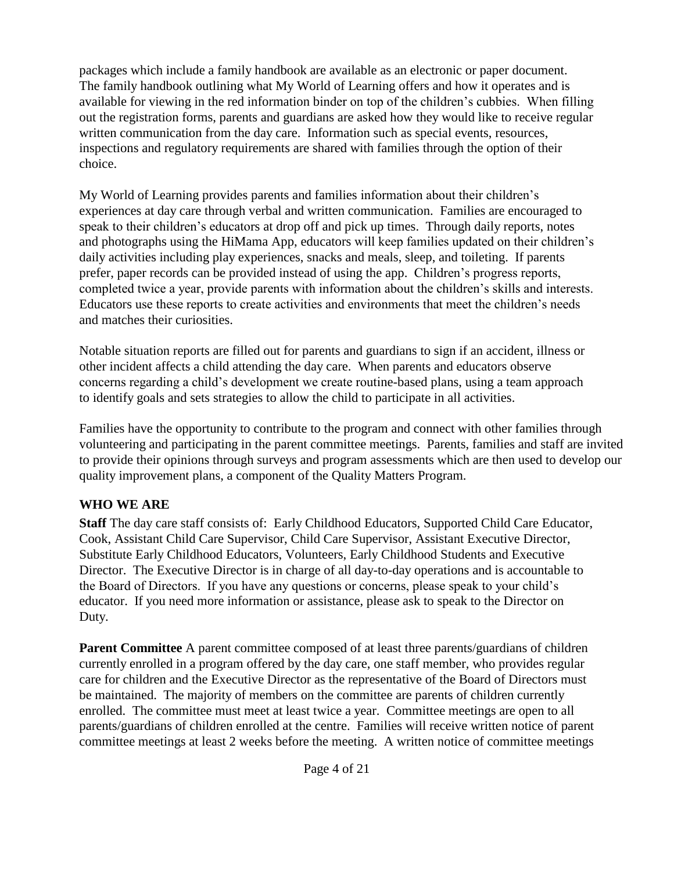packages which include a family handbook are available as an electronic or paper document. The family handbook outlining what My World of Learning offers and how it operates and is available for viewing in the red information binder on top of the children's cubbies. When filling out the registration forms, parents and guardians are asked how they would like to receive regular written communication from the day care. Information such as special events, resources, inspections and regulatory requirements are shared with families through the option of their choice.

My World of Learning provides parents and families information about their children's experiences at day care through verbal and written communication. Families are encouraged to speak to their children's educators at drop off and pick up times. Through daily reports, notes and photographs using the HiMama App, educators will keep families updated on their children's daily activities including play experiences, snacks and meals, sleep, and toileting. If parents prefer, paper records can be provided instead of using the app. Children's progress reports, completed twice a year, provide parents with information about the children's skills and interests. Educators use these reports to create activities and environments that meet the children's needs and matches their curiosities.

Notable situation reports are filled out for parents and guardians to sign if an accident, illness or other incident affects a child attending the day care. When parents and educators observe concerns regarding a child's development we create routine-based plans, using a team approach to identify goals and sets strategies to allow the child to participate in all activities.

Families have the opportunity to contribute to the program and connect with other families through volunteering and participating in the parent committee meetings. Parents, families and staff are invited to provide their opinions through surveys and program assessments which are then used to develop our quality improvement plans, a component of the Quality Matters Program.

## <span id="page-3-0"></span>**WHO WE ARE**

<span id="page-3-1"></span>**Staff** The day care staff consists of: Early Childhood Educators, Supported Child Care Educator, Cook, Assistant Child Care Supervisor, Child Care Supervisor, Assistant Executive Director, Substitute Early Childhood Educators, Volunteers, Early Childhood Students and Executive Director. The Executive Director is in charge of all day-to-day operations and is accountable to the Board of Directors. If you have any questions or concerns, please speak to your child's educator. If you need more information or assistance, please ask to speak to the Director on Duty.

<span id="page-3-2"></span>**Parent Committee** A parent committee composed of at least three parents/guardians of children currently enrolled in a program offered by the day care, one staff member, who provides regular care for children and the Executive Director as the representative of the Board of Directors must be maintained. The majority of members on the committee are parents of children currently enrolled. The committee must meet at least twice a year. Committee meetings are open to all parents/guardians of children enrolled at the centre. Families will receive written notice of parent committee meetings at least 2 weeks before the meeting. A written notice of committee meetings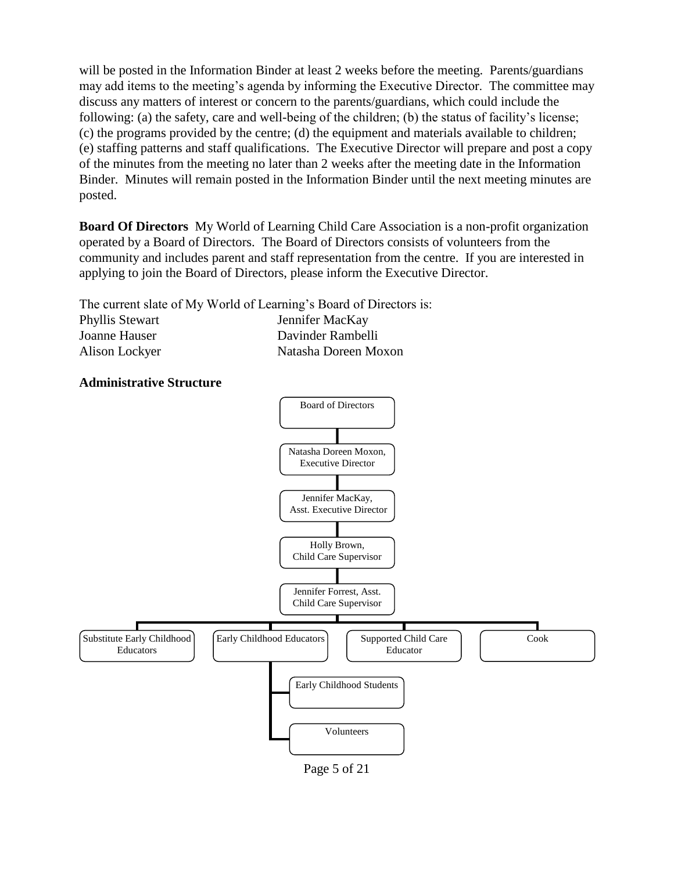will be posted in the Information Binder at least 2 weeks before the meeting. Parents/guardians may add items to the meeting's agenda by informing the Executive Director. The committee may discuss any matters of interest or concern to the parents/guardians, which could include the following: (a) the safety, care and well-being of the children; (b) the status of facility's license; (c) the programs provided by the centre; (d) the equipment and materials available to children; (e) staffing patterns and staff qualifications. The Executive Director will prepare and post a copy of the minutes from the meeting no later than 2 weeks after the meeting date in the Information Binder. Minutes will remain posted in the Information Binder until the next meeting minutes are posted.

<span id="page-4-0"></span>**Board Of Directors** My World of Learning Child Care Association is a non-profit organization operated by a Board of Directors. The Board of Directors consists of volunteers from the community and includes parent and staff representation from the centre. If you are interested in applying to join the Board of Directors, please inform the Executive Director.

The current slate of My World of Learning's Board of Directors is: Phyllis Stewart Jennifer MacKay Joanne Hauser Davinder Rambelli Alison Lockyer Natasha Doreen Moxon

#### <span id="page-4-1"></span>**Administrative Structure**



Page 5 of 21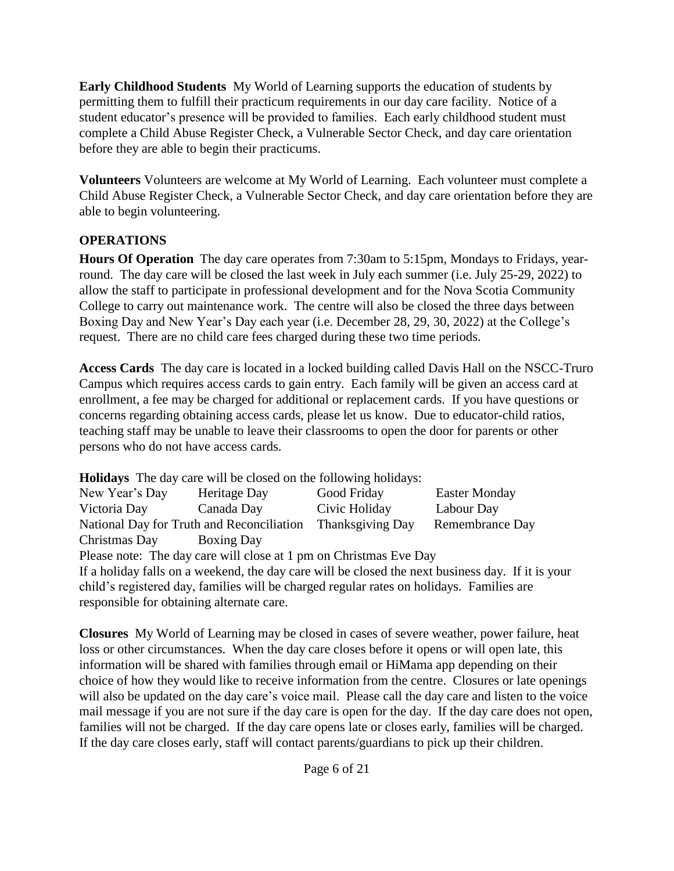<span id="page-5-0"></span>**Early Childhood Students** My World of Learning supports the education of students by permitting them to fulfill their practicum requirements in our day care facility. Notice of a student educator's presence will be provided to families. Each early childhood student must complete a Child Abuse Register Check, a Vulnerable Sector Check, and day care orientation before they are able to begin their practicums.

<span id="page-5-1"></span>**Volunteers** Volunteers are welcome at My World of Learning. Each volunteer must complete a Child Abuse Register Check, a Vulnerable Sector Check, and day care orientation before they are able to begin volunteering.

#### <span id="page-5-2"></span>**OPERATIONS**

<span id="page-5-3"></span>**Hours Of Operation** The day care operates from 7:30am to 5:15pm, Mondays to Fridays, yearround. The day care will be closed the last week in July each summer (i.e. July 25-29, 2022) to allow the staff to participate in professional development and for the Nova Scotia Community College to carry out maintenance work. The centre will also be closed the three days between Boxing Day and New Year's Day each year (i.e. December 28, 29, 30, 2022) at the College's request. There are no child care fees charged during these two time periods.

<span id="page-5-4"></span>**Access Cards** The day care is located in a locked building called Davis Hall on the NSCC-Truro Campus which requires access cards to gain entry. Each family will be given an access card at enrollment, a fee may be charged for additional or replacement cards. If you have questions or concerns regarding obtaining access cards, please let us know. Due to educator-child ratios, teaching staff may be unable to leave their classrooms to open the door for parents or other persons who do not have access cards.

<span id="page-5-5"></span>**Holidays** The day care will be closed on the following holidays:

| New Year's Day | Heritage Day                              | Good Friday      | <b>Easter Monday</b> |
|----------------|-------------------------------------------|------------------|----------------------|
| Victoria Day   | Canada Day                                | Civic Holiday    | Labour Day           |
|                | National Day for Truth and Reconciliation | Thanksgiving Day | Remembrance Day      |
| Christmas Day  | <b>Boxing Day</b>                         |                  |                      |

Please note: The day care will close at 1 pm on Christmas Eve Day If a holiday falls on a weekend, the day care will be closed the next business day. If it is your child's registered day, families will be charged regular rates on holidays. Families are responsible for obtaining alternate care.

<span id="page-5-6"></span>**Closures** My World of Learning may be closed in cases of severe weather, power failure, heat loss or other circumstances. When the day care closes before it opens or will open late, this information will be shared with families through email or HiMama app depending on their choice of how they would like to receive information from the centre. Closures or late openings will also be updated on the day care's voice mail. Please call the day care and listen to the voice mail message if you are not sure if the day care is open for the day. If the day care does not open, families will not be charged. If the day care opens late or closes early, families will be charged. If the day care closes early, staff will contact parents/guardians to pick up their children.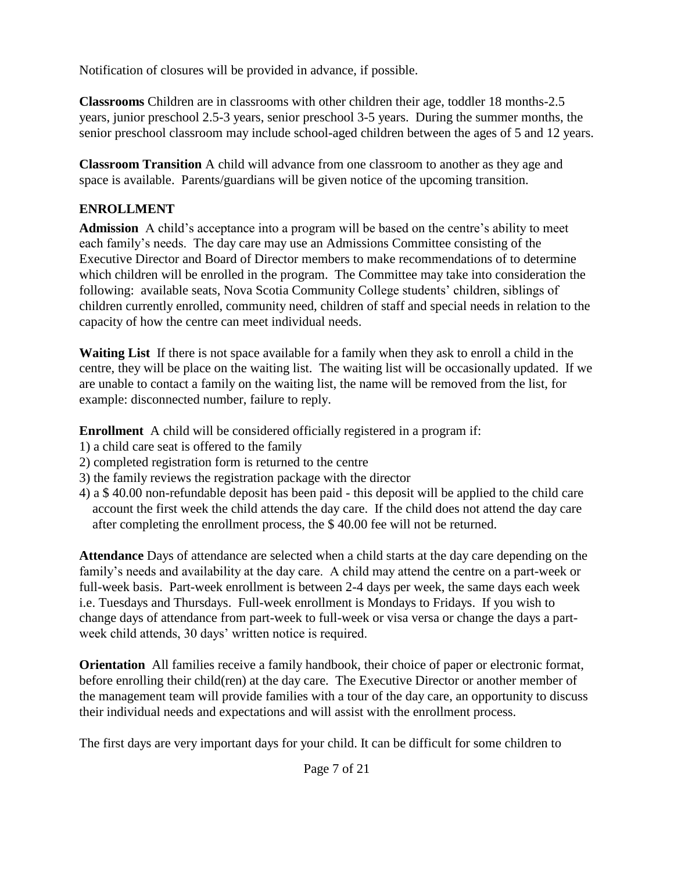Notification of closures will be provided in advance, if possible.

<span id="page-6-0"></span>**Classrooms** Children are in classrooms with other children their age, toddler 18 months-2.5 years, junior preschool 2.5-3 years, senior preschool 3-5 years. During the summer months, the senior preschool classroom may include school-aged children between the ages of 5 and 12 years.

<span id="page-6-1"></span>**Classroom Transition** A child will advance from one classroom to another as they age and space is available. Parents/guardians will be given notice of the upcoming transition.

# <span id="page-6-2"></span>**ENROLLMENT**

<span id="page-6-3"></span>**Admission** A child's acceptance into a program will be based on the centre's ability to meet each family's needs. The day care may use an Admissions Committee consisting of the Executive Director and Board of Director members to make recommendations of to determine which children will be enrolled in the program. The Committee may take into consideration the following: available seats, Nova Scotia Community College students' children, siblings of children currently enrolled, community need, children of staff and special needs in relation to the capacity of how the centre can meet individual needs.

<span id="page-6-4"></span>**Waiting List** If there is not space available for a family when they ask to enroll a child in the centre, they will be place on the waiting list. The waiting list will be occasionally updated. If we are unable to contact a family on the waiting list, the name will be removed from the list, for example: disconnected number, failure to reply.

<span id="page-6-5"></span>**Enrollment** A child will be considered officially registered in a program if:

- 1) a child care seat is offered to the family
- 2) completed registration form is returned to the centre
- 3) the family reviews the registration package with the director
- 4) a \$ 40.00 non-refundable deposit has been paid this deposit will be applied to the child care account the first week the child attends the day care. If the child does not attend the day care after completing the enrollment process, the \$ 40.00 fee will not be returned.

<span id="page-6-6"></span>**Attendance** Days of attendance are selected when a child starts at the day care depending on the family's needs and availability at the day care. A child may attend the centre on a part-week or full-week basis. Part-week enrollment is between 2-4 days per week, the same days each week i.e. Tuesdays and Thursdays. Full-week enrollment is Mondays to Fridays. If you wish to change days of attendance from part-week to full-week or visa versa or change the days a partweek child attends, 30 days' written notice is required.

<span id="page-6-7"></span>**Orientation** All families receive a family handbook, their choice of paper or electronic format, before enrolling their child(ren) at the day care. The Executive Director or another member of the management team will provide families with a tour of the day care, an opportunity to discuss their individual needs and expectations and will assist with the enrollment process.

The first days are very important days for your child. It can be difficult for some children to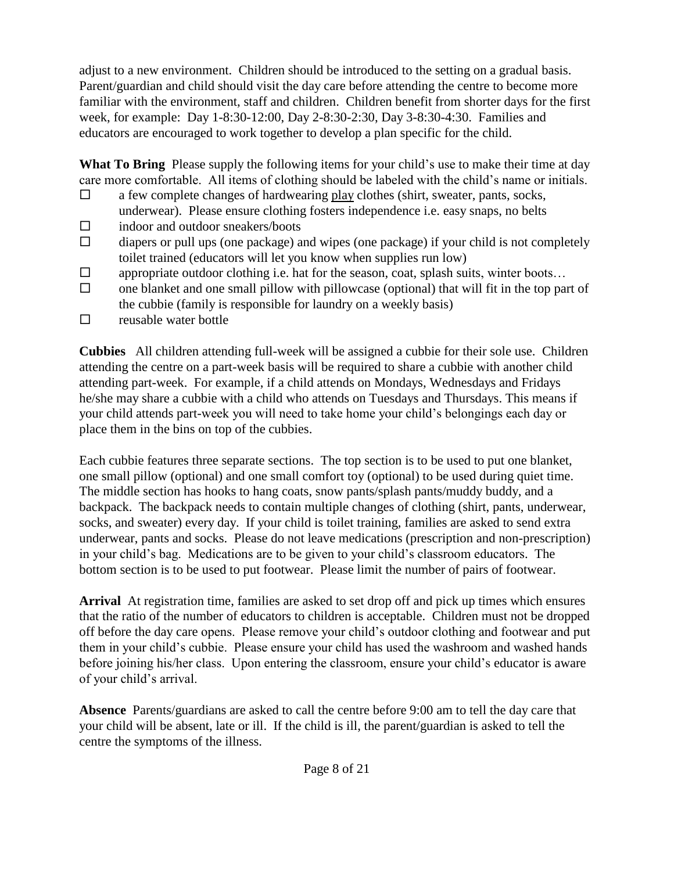adjust to a new environment. Children should be introduced to the setting on a gradual basis. Parent/guardian and child should visit the day care before attending the centre to become more familiar with the environment, staff and children. Children benefit from shorter days for the first week, for example: Day 1-8:30-12:00, Day 2-8:30-2:30, Day 3-8:30-4:30. Families and educators are encouraged to work together to develop a plan specific for the child.

<span id="page-7-0"></span>**What To Bring** Please supply the following items for your child's use to make their time at day care more comfortable. All items of clothing should be labeled with the child's name or initials.

- $\Box$  a few complete changes of hardwearing play clothes (shirt, sweater, pants, socks, underwear). Please ensure clothing fosters independence i.e. easy snaps, no belts
- $\Box$  indoor and outdoor sneakers/boots
- $\Box$  diapers or pull ups (one package) and wipes (one package) if your child is not completely toilet trained (educators will let you know when supplies run low)
- $\square$  appropriate outdoor clothing i.e. hat for the season, coat, splash suits, winter boots...
- $\square$  one blanket and one small pillow with pillowcase (optional) that will fit in the top part of the cubbie (family is responsible for laundry on a weekly basis)
- $\square$  reusable water bottle

<span id="page-7-1"></span>**Cubbies** All children attending full-week will be assigned a cubbie for their sole use. Children attending the centre on a part-week basis will be required to share a cubbie with another child attending part-week. For example, if a child attends on Mondays, Wednesdays and Fridays he/she may share a cubbie with a child who attends on Tuesdays and Thursdays. This means if your child attends part-week you will need to take home your child's belongings each day or place them in the bins on top of the cubbies.

Each cubbie features three separate sections. The top section is to be used to put one blanket, one small pillow (optional) and one small comfort toy (optional) to be used during quiet time. The middle section has hooks to hang coats, snow pants/splash pants/muddy buddy, and a backpack. The backpack needs to contain multiple changes of clothing (shirt, pants, underwear, socks, and sweater) every day. If your child is toilet training, families are asked to send extra underwear, pants and socks. Please do not leave medications (prescription and non-prescription) in your child's bag. Medications are to be given to your child's classroom educators. The bottom section is to be used to put footwear. Please limit the number of pairs of footwear.

<span id="page-7-2"></span>**Arrival** At registration time, families are asked to set drop off and pick up times which ensures that the ratio of the number of educators to children is acceptable. Children must not be dropped off before the day care opens. Please remove your child's outdoor clothing and footwear and put them in your child's cubbie. Please ensure your child has used the washroom and washed hands before joining his/her class. Upon entering the classroom, ensure your child's educator is aware of your child's arrival.

<span id="page-7-3"></span>**Absence** Parents/guardians are asked to call the centre before 9:00 am to tell the day care that your child will be absent, late or ill. If the child is ill, the parent/guardian is asked to tell the centre the symptoms of the illness.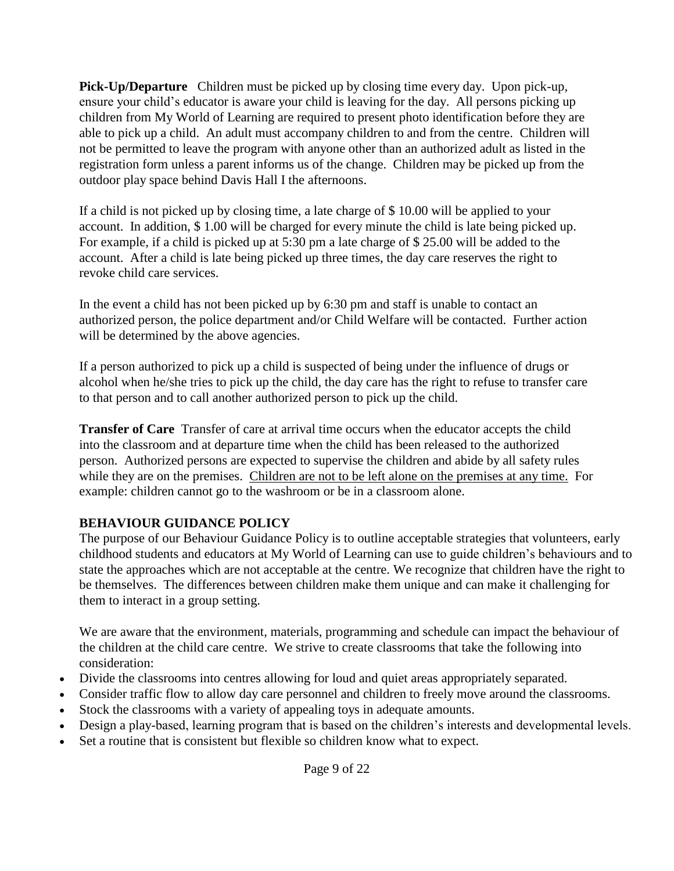<span id="page-8-0"></span>**Pick-Up/Departure** Children must be picked up by closing time every day. Upon pick-up, ensure your child's educator is aware your child is leaving for the day. All persons picking up children from My World of Learning are required to present photo identification before they are able to pick up a child. An adult must accompany children to and from the centre. Children will not be permitted to leave the program with anyone other than an authorized adult as listed in the registration form unless a parent informs us of the change. Children may be picked up from the outdoor play space behind Davis Hall I the afternoons.

If a child is not picked up by closing time, a late charge of \$ 10.00 will be applied to your account. In addition, \$ 1.00 will be charged for every minute the child is late being picked up. For example, if a child is picked up at 5:30 pm a late charge of \$ 25.00 will be added to the account. After a child is late being picked up three times, the day care reserves the right to revoke child care services.

In the event a child has not been picked up by 6:30 pm and staff is unable to contact an authorized person, the police department and/or Child Welfare will be contacted. Further action will be determined by the above agencies.

If a person authorized to pick up a child is suspected of being under the influence of drugs or alcohol when he/she tries to pick up the child, the day care has the right to refuse to transfer care to that person and to call another authorized person to pick up the child.

<span id="page-8-1"></span>**Transfer of Care** Transfer of care at arrival time occurs when the educator accepts the child into the classroom and at departure time when the child has been released to the authorized person. Authorized persons are expected to supervise the children and abide by all safety rules while they are on the premises. Children are not to be left alone on the premises at any time. For example: children cannot go to the washroom or be in a classroom alone.

## <span id="page-8-2"></span>**BEHAVIOUR GUIDANCE POLICY**

The purpose of our Behaviour Guidance Policy is to outline acceptable strategies that volunteers, early childhood students and educators at My World of Learning can use to guide children's behaviours and to state the approaches which are not acceptable at the centre. We recognize that children have the right to be themselves. The differences between children make them unique and can make it challenging for them to interact in a group setting.

We are aware that the environment, materials, programming and schedule can impact the behaviour of the children at the child care centre. We strive to create classrooms that take the following into consideration:

- Divide the classrooms into centres allowing for loud and quiet areas appropriately separated.
- Consider traffic flow to allow day care personnel and children to freely move around the classrooms.
- Stock the classrooms with a variety of appealing toys in adequate amounts.
- Design a play-based, learning program that is based on the children's interests and developmental levels.
- Set a routine that is consistent but flexible so children know what to expect.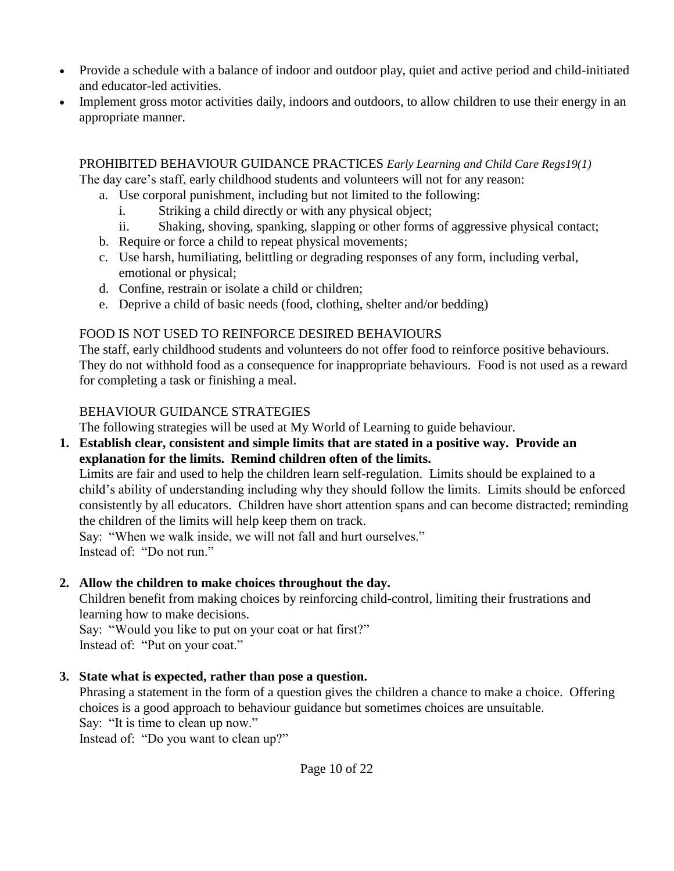- Provide a schedule with a balance of indoor and outdoor play, quiet and active period and child-initiated and educator-led activities.
- Implement gross motor activities daily, indoors and outdoors, to allow children to use their energy in an appropriate manner.

PROHIBITED BEHAVIOUR GUIDANCE PRACTICES *Early Learning and Child Care Regs19(1)* The day care's staff, early childhood students and volunteers will not for any reason:

a. Use corporal punishment, including but not limited to the following:

- i. Striking a child directly or with any physical object;
- ii. Shaking, shoving, spanking, slapping or other forms of aggressive physical contact;
- b. Require or force a child to repeat physical movements;
- c. Use harsh, humiliating, belittling or degrading responses of any form, including verbal, emotional or physical;
- d. Confine, restrain or isolate a child or children;
- e. Deprive a child of basic needs (food, clothing, shelter and/or bedding)

#### FOOD IS NOT USED TO REINFORCE DESIRED BEHAVIOURS

The staff, early childhood students and volunteers do not offer food to reinforce positive behaviours. They do not withhold food as a consequence for inappropriate behaviours. Food is not used as a reward for completing a task or finishing a meal.

## BEHAVIOUR GUIDANCE STRATEGIES

The following strategies will be used at My World of Learning to guide behaviour.

**1. Establish clear, consistent and simple limits that are stated in a positive way. Provide an explanation for the limits. Remind children often of the limits.**

Limits are fair and used to help the children learn self-regulation. Limits should be explained to a child's ability of understanding including why they should follow the limits. Limits should be enforced consistently by all educators. Children have short attention spans and can become distracted; reminding the children of the limits will help keep them on track.

Say: "When we walk inside, we will not fall and hurt ourselves." Instead of: "Do not run."

## **2. Allow the children to make choices throughout the day.**

Children benefit from making choices by reinforcing child-control, limiting their frustrations and learning how to make decisions.

Say: "Would you like to put on your coat or hat first?" Instead of: "Put on your coat."

## **3. State what is expected, rather than pose a question.**

Phrasing a statement in the form of a question gives the children a chance to make a choice. Offering choices is a good approach to behaviour guidance but sometimes choices are unsuitable. Say: "It is time to clean up now."

Instead of: "Do you want to clean up?"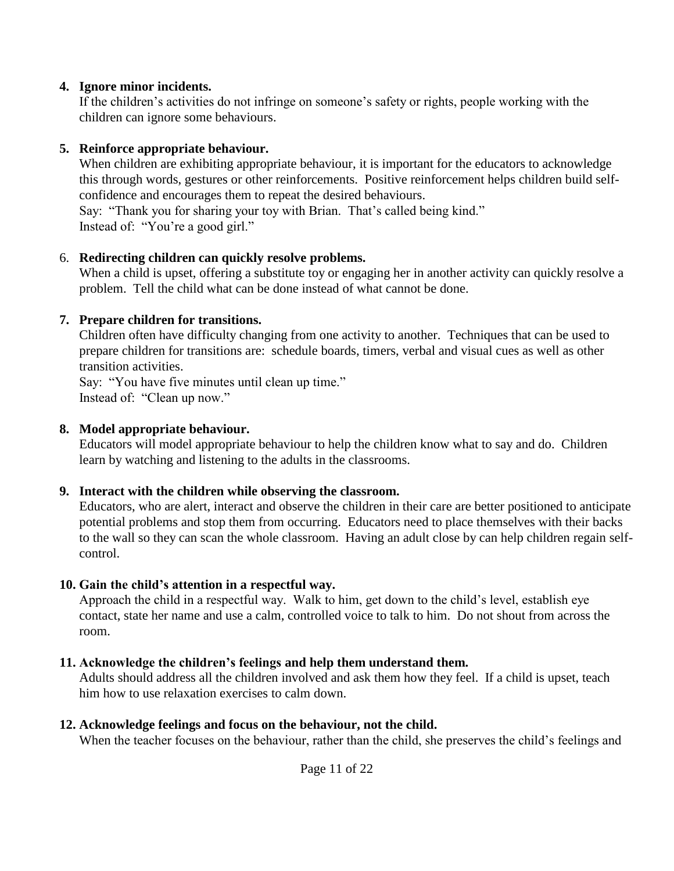#### **4. Ignore minor incidents.**

If the children's activities do not infringe on someone's safety or rights, people working with the children can ignore some behaviours.

#### **5. Reinforce appropriate behaviour.**

When children are exhibiting appropriate behaviour, it is important for the educators to acknowledge this through words, gestures or other reinforcements. Positive reinforcement helps children build selfconfidence and encourages them to repeat the desired behaviours.

Say: "Thank you for sharing your toy with Brian. That's called being kind." Instead of: "You're a good girl."

#### 6. **Redirecting children can quickly resolve problems.**

When a child is upset, offering a substitute toy or engaging her in another activity can quickly resolve a problem. Tell the child what can be done instead of what cannot be done.

#### **7. Prepare children for transitions.**

Children often have difficulty changing from one activity to another. Techniques that can be used to prepare children for transitions are: schedule boards, timers, verbal and visual cues as well as other transition activities.

Say: "You have five minutes until clean up time." Instead of: "Clean up now."

#### **8. Model appropriate behaviour.**

Educators will model appropriate behaviour to help the children know what to say and do. Children learn by watching and listening to the adults in the classrooms.

## **9. Interact with the children while observing the classroom.**

Educators, who are alert, interact and observe the children in their care are better positioned to anticipate potential problems and stop them from occurring. Educators need to place themselves with their backs to the wall so they can scan the whole classroom. Having an adult close by can help children regain selfcontrol.

## **10. Gain the child's attention in a respectful way.**

Approach the child in a respectful way. Walk to him, get down to the child's level, establish eye contact, state her name and use a calm, controlled voice to talk to him. Do not shout from across the room.

## **11. Acknowledge the children's feelings and help them understand them.**

Adults should address all the children involved and ask them how they feel. If a child is upset, teach him how to use relaxation exercises to calm down.

## **12. Acknowledge feelings and focus on the behaviour, not the child.**

When the teacher focuses on the behaviour, rather than the child, she preserves the child's feelings and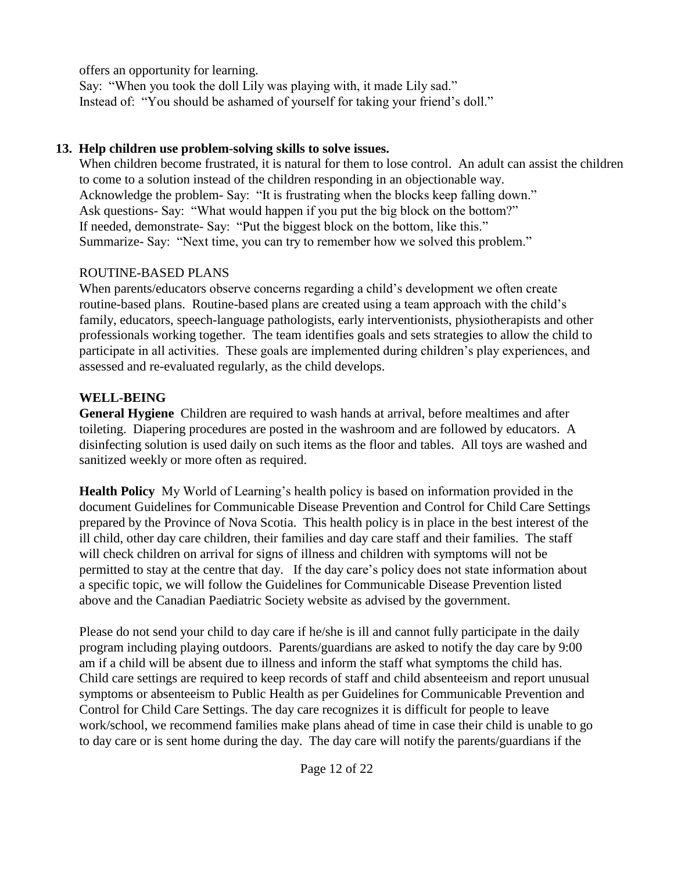offers an opportunity for learning.

Say: "When you took the doll Lily was playing with, it made Lily sad." Instead of: "You should be ashamed of yourself for taking your friend's doll."

## **13. Help children use problem-solving skills to solve issues.**

When children become frustrated, it is natural for them to lose control. An adult can assist the children to come to a solution instead of the children responding in an objectionable way. Acknowledge the problem- Say: "It is frustrating when the blocks keep falling down." Ask questions- Say: "What would happen if you put the big block on the bottom?" If needed, demonstrate- Say: "Put the biggest block on the bottom, like this." Summarize- Say: "Next time, you can try to remember how we solved this problem."

## ROUTINE-BASED PLANS

When parents/educators observe concerns regarding a child's development we often create routine-based plans. Routine-based plans are created using a team approach with the child's family, educators, speech-language pathologists, early interventionists, physiotherapists and other professionals working together. The team identifies goals and sets strategies to allow the child to participate in all activities. These goals are implemented during children's play experiences, and assessed and re-evaluated regularly, as the child develops.

## <span id="page-11-0"></span>**WELL-BEING**

<span id="page-11-1"></span>**General Hygiene** Children are required to wash hands at arrival, before mealtimes and after toileting. Diapering procedures are posted in the washroom and are followed by educators. A disinfecting solution is used daily on such items as the floor and tables. All toys are washed and sanitized weekly or more often as required.

<span id="page-11-2"></span>**Health Policy** My World of Learning's health policy is based on information provided in the document Guidelines for Communicable Disease Prevention and Control for Child Care Settings prepared by the Province of Nova Scotia. This health policy is in place in the best interest of the ill child, other day care children, their families and day care staff and their families. The staff will check children on arrival for signs of illness and children with symptoms will not be permitted to stay at the centre that day. If the day care's policy does not state information about a specific topic, we will follow the Guidelines for Communicable Disease Prevention listed above and the Canadian Paediatric Society website as advised by the government.

Please do not send your child to day care if he/she is ill and cannot fully participate in the daily program including playing outdoors. Parents/guardians are asked to notify the day care by 9:00 am if a child will be absent due to illness and inform the staff what symptoms the child has. Child care settings are required to keep records of staff and child absenteeism and report unusual symptoms or absenteeism to Public Health as per Guidelines for Communicable Prevention and Control for Child Care Settings. The day care recognizes it is difficult for people to leave work/school, we recommend families make plans ahead of time in case their child is unable to go to day care or is sent home during the day. The day care will notify the parents/guardians if the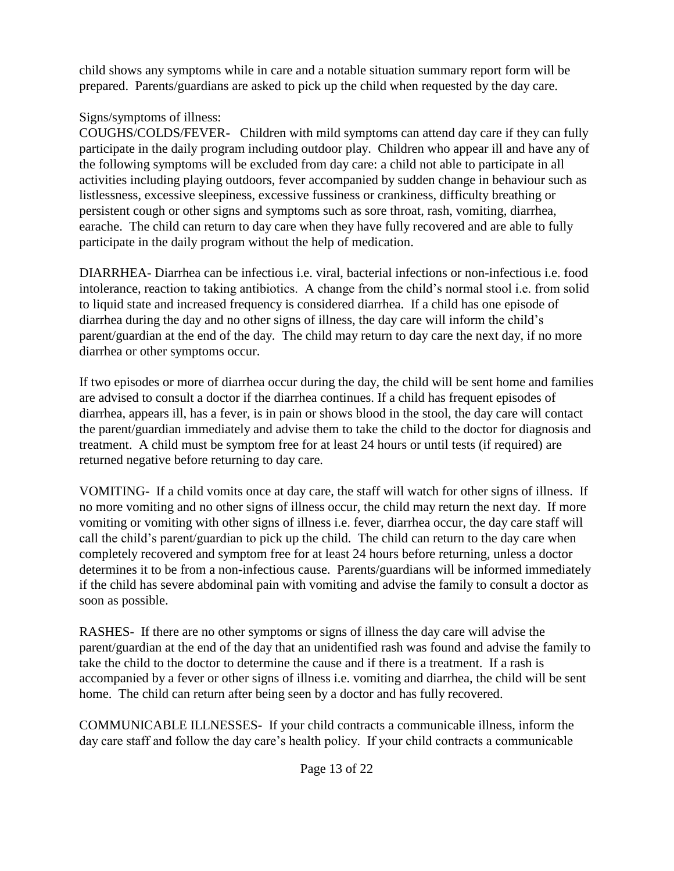child shows any symptoms while in care and a notable situation summary report form will be prepared. Parents/guardians are asked to pick up the child when requested by the day care.

## Signs/symptoms of illness:

COUGHS/COLDS/FEVER**-** Children with mild symptoms can attend day care if they can fully participate in the daily program including outdoor play. Children who appear ill and have any of the following symptoms will be excluded from day care: a child not able to participate in all activities including playing outdoors, fever accompanied by sudden change in behaviour such as listlessness, excessive sleepiness, excessive fussiness or crankiness, difficulty breathing or persistent cough or other signs and symptoms such as sore throat, rash, vomiting, diarrhea, earache. The child can return to day care when they have fully recovered and are able to fully participate in the daily program without the help of medication.

DIARRHEA- Diarrhea can be infectious i.e. viral, bacterial infections or non-infectious i.e. food intolerance, reaction to taking antibiotics. A change from the child's normal stool i.e. from solid to liquid state and increased frequency is considered diarrhea. If a child has one episode of diarrhea during the day and no other signs of illness, the day care will inform the child's parent/guardian at the end of the day. The child may return to day care the next day, if no more diarrhea or other symptoms occur.

If two episodes or more of diarrhea occur during the day, the child will be sent home and families are advised to consult a doctor if the diarrhea continues. If a child has frequent episodes of diarrhea, appears ill, has a fever, is in pain or shows blood in the stool, the day care will contact the parent/guardian immediately and advise them to take the child to the doctor for diagnosis and treatment. A child must be symptom free for at least 24 hours or until tests (if required) are returned negative before returning to day care.

VOMITING**-** If a child vomits once at day care, the staff will watch for other signs of illness. If no more vomiting and no other signs of illness occur, the child may return the next day. If more vomiting or vomiting with other signs of illness i.e. fever, diarrhea occur, the day care staff will call the child's parent/guardian to pick up the child. The child can return to the day care when completely recovered and symptom free for at least 24 hours before returning, unless a doctor determines it to be from a non-infectious cause. Parents/guardians will be informed immediately if the child has severe abdominal pain with vomiting and advise the family to consult a doctor as soon as possible.

RASHES- If there are no other symptoms or signs of illness the day care will advise the parent/guardian at the end of the day that an unidentified rash was found and advise the family to take the child to the doctor to determine the cause and if there is a treatment. If a rash is accompanied by a fever or other signs of illness i.e. vomiting and diarrhea, the child will be sent home. The child can return after being seen by a doctor and has fully recovered.

COMMUNICABLE ILLNESSES**-** If your child contracts a communicable illness, inform the day care staff and follow the day care's health policy. If your child contracts a communicable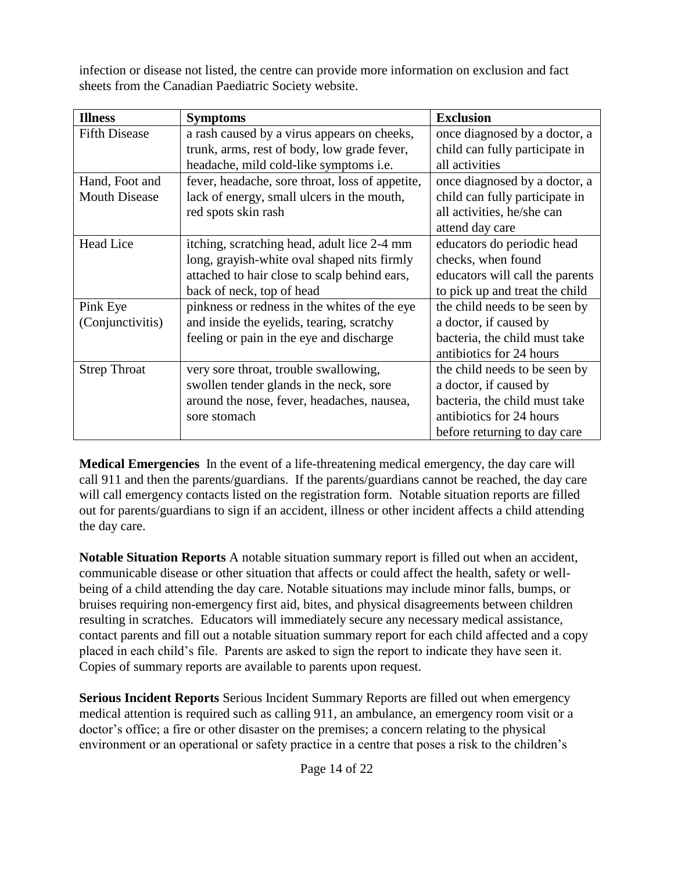infection or disease not listed, the centre can provide more information on exclusion and fact sheets from the Canadian Paediatric Society website.

| <b>Illness</b>       | <b>Symptoms</b>                                 | <b>Exclusion</b>                |
|----------------------|-------------------------------------------------|---------------------------------|
| <b>Fifth Disease</b> | a rash caused by a virus appears on cheeks,     | once diagnosed by a doctor, a   |
|                      | trunk, arms, rest of body, low grade fever,     | child can fully participate in  |
|                      | headache, mild cold-like symptoms i.e.          | all activities                  |
| Hand, Foot and       | fever, headache, sore throat, loss of appetite, | once diagnosed by a doctor, a   |
| <b>Mouth Disease</b> | lack of energy, small ulcers in the mouth,      | child can fully participate in  |
|                      | red spots skin rash                             | all activities, he/she can      |
|                      |                                                 | attend day care                 |
| <b>Head Lice</b>     | itching, scratching head, adult lice 2-4 mm     | educators do periodic head      |
|                      | long, grayish-white oval shaped nits firmly     | checks, when found              |
|                      | attached to hair close to scalp behind ears,    | educators will call the parents |
|                      | back of neck, top of head                       | to pick up and treat the child  |
| Pink Eye             | pinkness or redness in the whites of the eye    | the child needs to be seen by   |
| (Conjunctivitis)     | and inside the eyelids, tearing, scratchy       | a doctor, if caused by          |
|                      | feeling or pain in the eye and discharge        | bacteria, the child must take   |
|                      |                                                 | antibiotics for 24 hours        |
| <b>Strep Throat</b>  | very sore throat, trouble swallowing,           | the child needs to be seen by   |
|                      | swollen tender glands in the neck, sore         | a doctor, if caused by          |
|                      | around the nose, fever, headaches, nausea,      | bacteria, the child must take   |
|                      | sore stomach                                    | antibiotics for 24 hours        |
|                      |                                                 | before returning to day care    |

<span id="page-13-0"></span>**Medical Emergencies** In the event of a life-threatening medical emergency, the day care will call 911 and then the parents/guardians. If the parents/guardians cannot be reached, the day care will call emergency contacts listed on the registration form. Notable situation reports are filled out for parents/guardians to sign if an accident, illness or other incident affects a child attending the day care.

<span id="page-13-1"></span>**Notable Situation Reports** A notable situation summary report is filled out when an accident, communicable disease or other situation that affects or could affect the health, safety or wellbeing of a child attending the day care. Notable situations may include minor falls, bumps, or bruises requiring non-emergency first aid, bites, and physical disagreements between children resulting in scratches. Educators will immediately secure any necessary medical assistance, contact parents and fill out a notable situation summary report for each child affected and a copy placed in each child's file. Parents are asked to sign the report to indicate they have seen it. Copies of summary reports are available to parents upon request.

<span id="page-13-2"></span>**Serious Incident Reports** Serious Incident Summary Reports are filled out when emergency medical attention is required such as calling 911, an ambulance, an emergency room visit or a doctor's office; a fire or other disaster on the premises; a concern relating to the physical environment or an operational or safety practice in a centre that poses a risk to the children's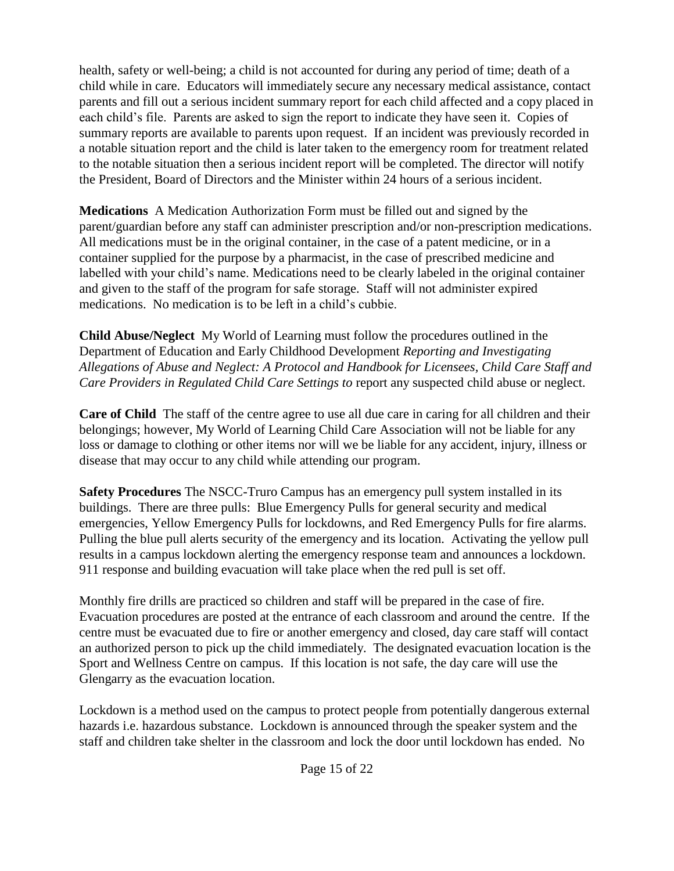health, safety or well-being; a child is not accounted for during any period of time; death of a child while in care. Educators will immediately secure any necessary medical assistance, contact parents and fill out a serious incident summary report for each child affected and a copy placed in each child's file. Parents are asked to sign the report to indicate they have seen it. Copies of summary reports are available to parents upon request. If an incident was previously recorded in a notable situation report and the child is later taken to the emergency room for treatment related to the notable situation then a serious incident report will be completed. The director will notify the President, Board of Directors and the Minister within 24 hours of a serious incident.

<span id="page-14-0"></span>**Medications** A Medication Authorization Form must be filled out and signed by the parent/guardian before any staff can administer prescription and/or non-prescription medications. All medications must be in the original container, in the case of a patent medicine, or in a container supplied for the purpose by a pharmacist, in the case of prescribed medicine and labelled with your child's name. Medications need to be clearly labeled in the original container and given to the staff of the program for safe storage. Staff will not administer expired medications. No medication is to be left in a child's cubbie.

<span id="page-14-1"></span>**Child Abuse/Neglect** My World of Learning must follow the procedures outlined in the Department of Education and Early Childhood Development *Reporting and Investigating Allegations of Abuse and Neglect: A Protocol and Handbook for Licensees, Child Care Staff and Care Providers in Regulated Child Care Settings to report any suspected child abuse or neglect.* 

<span id="page-14-2"></span>**Care of Child** The staff of the centre agree to use all due care in caring for all children and their belongings; however, My World of Learning Child Care Association will not be liable for any loss or damage to clothing or other items nor will we be liable for any accident, injury, illness or disease that may occur to any child while attending our program.

<span id="page-14-3"></span>**Safety Procedures** The NSCC-Truro Campus has an emergency pull system installed in its buildings. There are three pulls: Blue Emergency Pulls for general security and medical emergencies, Yellow Emergency Pulls for lockdowns, and Red Emergency Pulls for fire alarms. Pulling the blue pull alerts security of the emergency and its location. Activating the yellow pull results in a campus lockdown alerting the emergency response team and announces a lockdown. 911 response and building evacuation will take place when the red pull is set off.

Monthly fire drills are practiced so children and staff will be prepared in the case of fire. Evacuation procedures are posted at the entrance of each classroom and around the centre. If the centre must be evacuated due to fire or another emergency and closed, day care staff will contact an authorized person to pick up the child immediately. The designated evacuation location is the Sport and Wellness Centre on campus. If this location is not safe, the day care will use the Glengarry as the evacuation location.

Lockdown is a method used on the campus to protect people from potentially dangerous external hazards i.e. hazardous substance. Lockdown is announced through the speaker system and the staff and children take shelter in the classroom and lock the door until lockdown has ended. No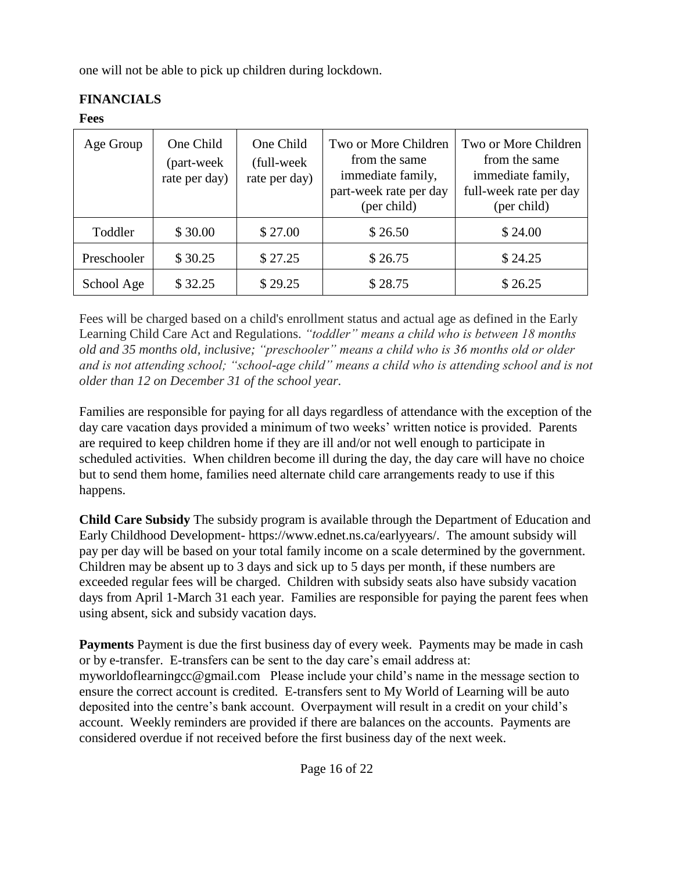one will not be able to pick up children during lockdown.

# <span id="page-15-0"></span>**FINANCIALS**

#### <span id="page-15-1"></span>**Fees**

| Age Group   | One Child<br>(part-week<br>rate per day) | One Child<br>(full-week)<br>rate per day) | Two or More Children<br>from the same<br>immediate family,<br>part-week rate per day<br>(per child) | Two or More Children<br>from the same<br>immediate family,<br>full-week rate per day<br>(per child) |
|-------------|------------------------------------------|-------------------------------------------|-----------------------------------------------------------------------------------------------------|-----------------------------------------------------------------------------------------------------|
| Toddler     | \$30.00                                  | \$27.00                                   | \$26.50                                                                                             | \$24.00                                                                                             |
| Preschooler | \$30.25                                  | \$27.25                                   | \$26.75                                                                                             | \$24.25                                                                                             |
| School Age  | \$32.25                                  | \$29.25                                   | \$28.75                                                                                             | \$26.25                                                                                             |

Fees will be charged based on a child's enrollment status and actual age as defined in the Early Learning Child Care Act and Regulations. *"toddler" means a child who is between 18 months old and 35 months old, inclusive; "preschooler" means a child who is 36 months old or older and is not attending school; "school-age child" means a child who is attending school and is not older than 12 on December 31 of the school year.*

Families are responsible for paying for all days regardless of attendance with the exception of the day care vacation days provided a minimum of two weeks' written notice is provided. Parents are required to keep children home if they are ill and/or not well enough to participate in scheduled activities. When children become ill during the day, the day care will have no choice but to send them home, families need alternate child care arrangements ready to use if this happens.

<span id="page-15-2"></span>**Child Care Subsidy** The subsidy program is available through the Department of Education and Early Childhood Development- https://www.ednet.ns.ca/earlyyears/. The amount subsidy will pay per day will be based on your total family income on a scale determined by the government. Children may be absent up to 3 days and sick up to 5 days per month, if these numbers are exceeded regular fees will be charged. Children with subsidy seats also have subsidy vacation days from April 1-March 31 each year. Families are responsible for paying the parent fees when using absent, sick and subsidy vacation days.

<span id="page-15-3"></span>**Payments** Payment is due the first business day of every week. Payments may be made in cash or by e-transfer. E-transfers can be sent to the day care's email address at: myworldoflearningcc@gmail.com Please include your child's name in the message section to ensure the correct account is credited. E-transfers sent to My World of Learning will be auto deposited into the centre's bank account. Overpayment will result in a credit on your child's account. Weekly reminders are provided if there are balances on the accounts. Payments are considered overdue if not received before the first business day of the next week.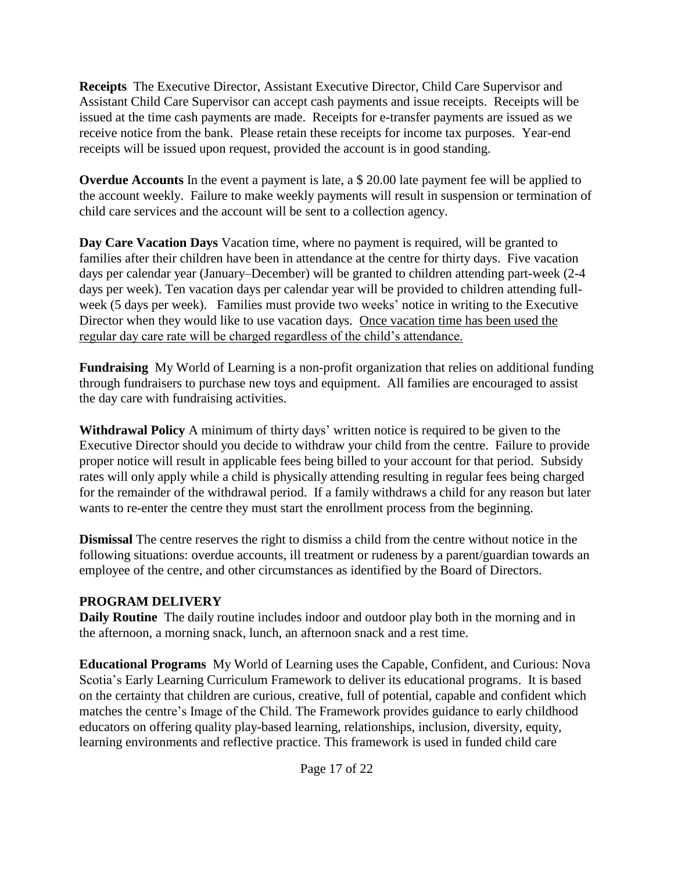<span id="page-16-0"></span>**Receipts** The Executive Director, Assistant Executive Director, Child Care Supervisor and Assistant Child Care Supervisor can accept cash payments and issue receipts. Receipts will be issued at the time cash payments are made. Receipts for e-transfer payments are issued as we receive notice from the bank. Please retain these receipts for income tax purposes. Year-end receipts will be issued upon request, provided the account is in good standing.

<span id="page-16-1"></span>**Overdue Accounts** In the event a payment is late, a \$ 20.00 late payment fee will be applied to the account weekly. Failure to make weekly payments will result in suspension or termination of child care services and the account will be sent to a collection agency.

<span id="page-16-2"></span>**Day Care Vacation Days** Vacation time, where no payment is required, will be granted to families after their children have been in attendance at the centre for thirty days. Five vacation days per calendar year (January–December) will be granted to children attending part-week (2-4 days per week). Ten vacation days per calendar year will be provided to children attending fullweek (5 days per week). Families must provide two weeks' notice in writing to the Executive Director when they would like to use vacation days. Once vacation time has been used the regular day care rate will be charged regardless of the child's attendance.

<span id="page-16-3"></span>**Fundraising** My World of Learning is a non-profit organization that relies on additional funding through fundraisers to purchase new toys and equipment. All families are encouraged to assist the day care with fundraising activities.

<span id="page-16-4"></span>**Withdrawal Policy** A minimum of thirty days' written notice is required to be given to the Executive Director should you decide to withdraw your child from the centre. Failure to provide proper notice will result in applicable fees being billed to your account for that period. Subsidy rates will only apply while a child is physically attending resulting in regular fees being charged for the remainder of the withdrawal period. If a family withdraws a child for any reason but later wants to re-enter the centre they must start the enrollment process from the beginning.

<span id="page-16-5"></span>**Dismissal** The centre reserves the right to dismiss a child from the centre without notice in the following situations: overdue accounts, ill treatment or rudeness by a parent/guardian towards an employee of the centre, and other circumstances as identified by the Board of Directors.

#### <span id="page-16-6"></span>**PROGRAM DELIVERY**

<span id="page-16-7"></span>**Daily Routine** The daily routine includes indoor and outdoor play both in the morning and in the afternoon, a morning snack, lunch, an afternoon snack and a rest time.

<span id="page-16-8"></span>**Educational Programs** My World of Learning uses the Capable, Confident, and Curious: Nova Scotia's Early Learning Curriculum Framework to deliver its educational programs. It is based on the certainty that children are curious, creative, full of potential, capable and confident which matches the centre's Image of the Child. The Framework provides guidance to early childhood educators on offering quality play-based learning, relationships, inclusion, diversity, equity, learning environments and reflective practice. This framework is used in funded child care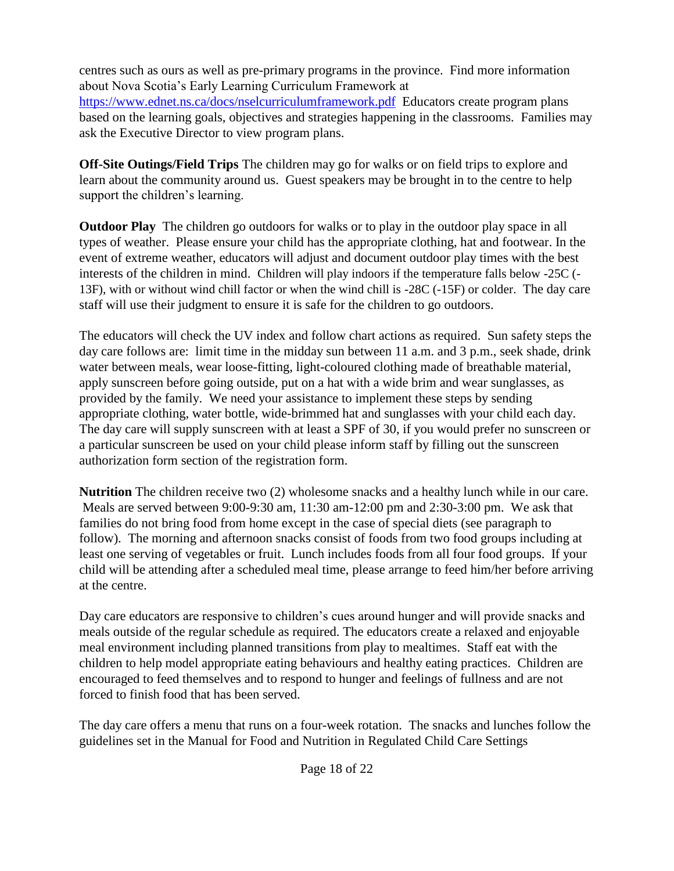centres such as ours as well as pre-primary programs in the province. Find more information about Nova Scotia's Early Learning Curriculum Framework at

<https://www.ednet.ns.ca/docs/nselcurriculumframework.pdf>Educators create program plans based on the learning goals, objectives and strategies happening in the classrooms. Families may ask the Executive Director to view program plans.

<span id="page-17-0"></span>**Off-Site Outings/Field Trips** The children may go for walks or on field trips to explore and learn about the community around us. Guest speakers may be brought in to the centre to help support the children's learning.

<span id="page-17-1"></span>**Outdoor Play** The children go outdoors for walks or to play in the outdoor play space in all types of weather. Please ensure your child has the appropriate clothing, hat and footwear. In the event of extreme weather, educators will adjust and document outdoor play times with the best interests of the children in mind. Children will play indoors if the temperature falls below -25C (- 13F), with or without wind chill factor or when the wind chill is -28C (-15F) or colder. The day care staff will use their judgment to ensure it is safe for the children to go outdoors.

The educators will check the UV index and follow chart actions as required. Sun safety steps the day care follows are: limit time in the midday sun between 11 a.m. and 3 p.m., seek shade, drink water between meals, wear loose-fitting, light-coloured clothing made of breathable material, apply sunscreen before going outside, put on a hat with a wide brim and wear sunglasses, as provided by the family. We need your assistance to implement these steps by sending appropriate clothing, water bottle, wide-brimmed hat and sunglasses with your child each day. The day care will supply sunscreen with at least a SPF of 30, if you would prefer no sunscreen or a particular sunscreen be used on your child please inform staff by filling out the sunscreen authorization form section of the registration form.

<span id="page-17-2"></span>**Nutrition** The children receive two (2) wholesome snacks and a healthy lunch while in our care. Meals are served between 9:00-9:30 am, 11:30 am-12:00 pm and 2:30-3:00 pm. We ask that families do not bring food from home except in the case of special diets (see paragraph to follow). The morning and afternoon snacks consist of foods from two food groups including at least one serving of vegetables or fruit. Lunch includes foods from all four food groups. If your child will be attending after a scheduled meal time, please arrange to feed him/her before arriving at the centre.

Day care educators are responsive to children's cues around hunger and will provide snacks and meals outside of the regular schedule as required. The educators create a relaxed and enjoyable meal environment including planned transitions from play to mealtimes. Staff eat with the children to help model appropriate eating behaviours and healthy eating practices. Children are encouraged to feed themselves and to respond to hunger and feelings of fullness and are not forced to finish food that has been served.

The day care offers a menu that runs on a four-week rotation. The snacks and lunches follow the guidelines set in the Manual for Food and Nutrition in Regulated Child Care Settings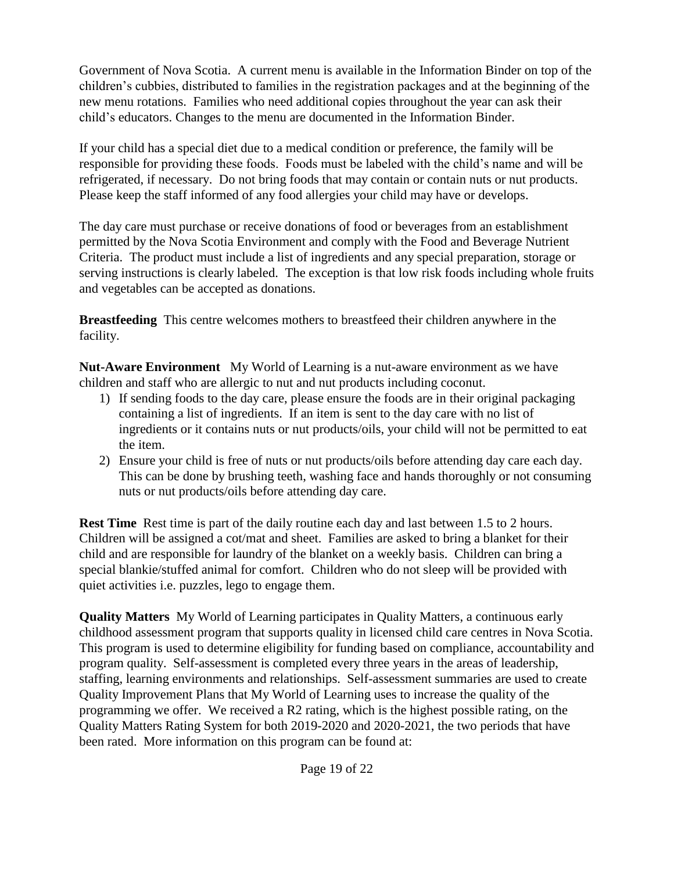Government of Nova Scotia. A current menu is available in the Information Binder on top of the children's cubbies, distributed to families in the registration packages and at the beginning of the new menu rotations. Families who need additional copies throughout the year can ask their child's educators. Changes to the menu are documented in the Information Binder.

If your child has a special diet due to a medical condition or preference, the family will be responsible for providing these foods. Foods must be labeled with the child's name and will be refrigerated, if necessary. Do not bring foods that may contain or contain nuts or nut products. Please keep the staff informed of any food allergies your child may have or develops.

The day care must purchase or receive donations of food or beverages from an establishment permitted by the Nova Scotia Environment and comply with the Food and Beverage Nutrient Criteria. The product must include a list of ingredients and any special preparation, storage or serving instructions is clearly labeled. The exception is that low risk foods including whole fruits and vegetables can be accepted as donations.

<span id="page-18-0"></span>**Breastfeeding** This centre welcomes mothers to breastfeed their children anywhere in the facility.

<span id="page-18-1"></span>**Nut-Aware Environment** My World of Learning is a nut-aware environment as we have children and staff who are allergic to nut and nut products including coconut.

- 1) If sending foods to the day care, please ensure the foods are in their original packaging containing a list of ingredients. If an item is sent to the day care with no list of ingredients or it contains nuts or nut products/oils, your child will not be permitted to eat the item.
- 2) Ensure your child is free of nuts or nut products/oils before attending day care each day. This can be done by brushing teeth, washing face and hands thoroughly or not consuming nuts or nut products/oils before attending day care.

<span id="page-18-2"></span>**Rest Time** Rest time is part of the daily routine each day and last between 1.5 to 2 hours. Children will be assigned a cot/mat and sheet. Families are asked to bring a blanket for their child and are responsible for laundry of the blanket on a weekly basis. Children can bring a special blankie/stuffed animal for comfort. Children who do not sleep will be provided with quiet activities i.e. puzzles, lego to engage them.

<span id="page-18-3"></span>**Quality Matters** My World of Learning participates in Quality Matters, a continuous early childhood assessment program that supports quality in licensed child care centres in Nova Scotia. This program is used to determine eligibility for funding based on compliance, accountability and program quality. Self-assessment is completed every three years in the areas of leadership, staffing, learning environments and relationships. Self-assessment summaries are used to create Quality Improvement Plans that My World of Learning uses to increase the quality of the programming we offer. We received a R2 rating, which is the highest possible rating, on the Quality Matters Rating System for both 2019-2020 and 2020-2021, the two periods that have been rated. More information on this program can be found at: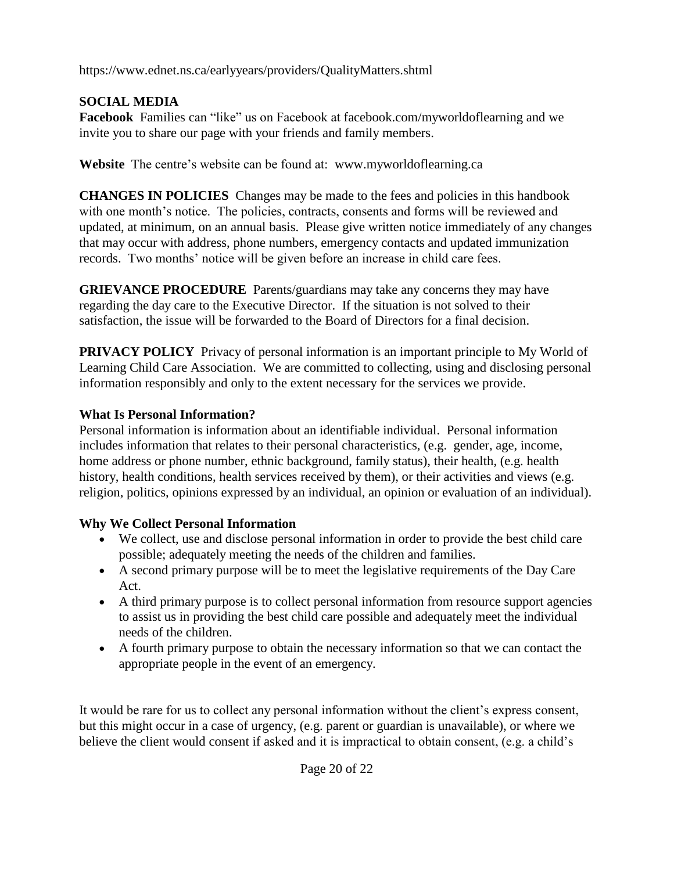https://www.ednet.ns.ca/earlyyears/providers/QualityMatters.shtml

# <span id="page-19-0"></span>**SOCIAL MEDIA**

<span id="page-19-1"></span>**Facebook** Families can "like" us on Facebook at facebook.com/myworldoflearning and we invite you to share our page with your friends and family members.

<span id="page-19-2"></span>**Website** The centre's website can be found at: www.myworldoflearning.ca

<span id="page-19-3"></span>**CHANGES IN POLICIES** Changes may be made to the fees and policies in this handbook with one month's notice. The policies, contracts, consents and forms will be reviewed and updated, at minimum, on an annual basis. Please give written notice immediately of any changes that may occur with address, phone numbers, emergency contacts and updated immunization records. Two months' notice will be given before an increase in child care fees.

<span id="page-19-4"></span>**GRIEVANCE PROCEDURE** Parents/guardians may take any concerns they may have regarding the day care to the Executive Director. If the situation is not solved to their satisfaction, the issue will be forwarded to the Board of Directors for a final decision.

<span id="page-19-5"></span>**PRIVACY POLICY** Privacy of personal information is an important principle to My World of Learning Child Care Association. We are committed to collecting, using and disclosing personal information responsibly and only to the extent necessary for the services we provide.

# **What Is Personal Information?**

Personal information is information about an identifiable individual. Personal information includes information that relates to their personal characteristics, (e.g. gender, age, income, home address or phone number, ethnic background, family status), their health, (e.g. health history, health conditions, health services received by them), or their activities and views (e.g. religion, politics, opinions expressed by an individual, an opinion or evaluation of an individual).

# **Why We Collect Personal Information**

- We collect, use and disclose personal information in order to provide the best child care possible; adequately meeting the needs of the children and families.
- A second primary purpose will be to meet the legislative requirements of the Day Care Act.
- A third primary purpose is to collect personal information from resource support agencies to assist us in providing the best child care possible and adequately meet the individual needs of the children.
- A fourth primary purpose to obtain the necessary information so that we can contact the appropriate people in the event of an emergency.

It would be rare for us to collect any personal information without the client's express consent, but this might occur in a case of urgency, (e.g. parent or guardian is unavailable), or where we believe the client would consent if asked and it is impractical to obtain consent, (e.g. a child's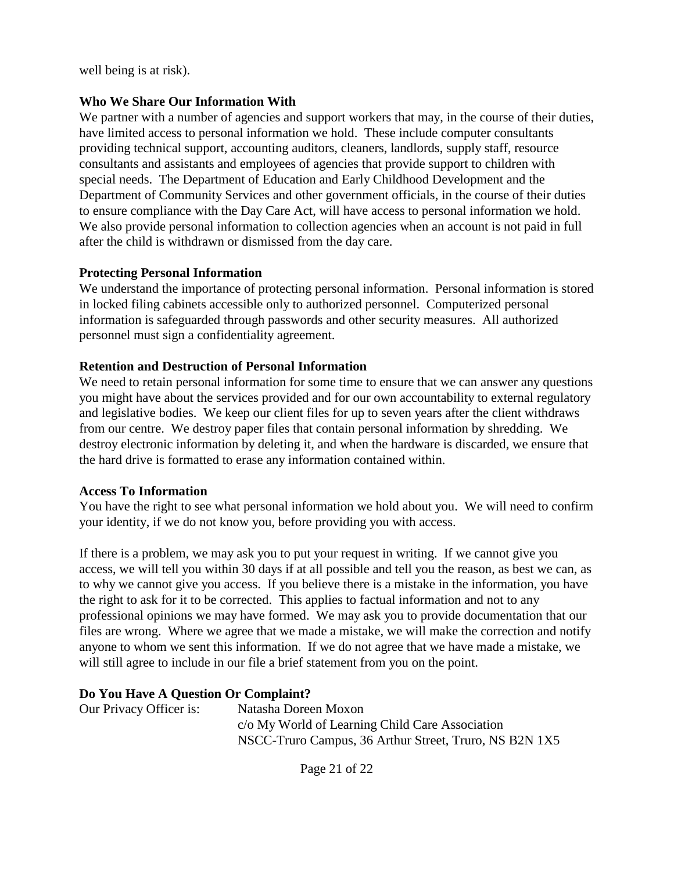well being is at risk).

#### **Who We Share Our Information With**

We partner with a number of agencies and support workers that may, in the course of their duties, have limited access to personal information we hold. These include computer consultants providing technical support, accounting auditors, cleaners, landlords, supply staff, resource consultants and assistants and employees of agencies that provide support to children with special needs. The Department of Education and Early Childhood Development and the Department of Community Services and other government officials, in the course of their duties to ensure compliance with the Day Care Act, will have access to personal information we hold. We also provide personal information to collection agencies when an account is not paid in full after the child is withdrawn or dismissed from the day care.

#### **Protecting Personal Information**

We understand the importance of protecting personal information. Personal information is stored in locked filing cabinets accessible only to authorized personnel. Computerized personal information is safeguarded through passwords and other security measures. All authorized personnel must sign a confidentiality agreement.

#### **Retention and Destruction of Personal Information**

We need to retain personal information for some time to ensure that we can answer any questions you might have about the services provided and for our own accountability to external regulatory and legislative bodies. We keep our client files for up to seven years after the client withdraws from our centre. We destroy paper files that contain personal information by shredding. We destroy electronic information by deleting it, and when the hardware is discarded, we ensure that the hard drive is formatted to erase any information contained within.

#### **Access To Information**

You have the right to see what personal information we hold about you. We will need to confirm your identity, if we do not know you, before providing you with access.

If there is a problem, we may ask you to put your request in writing. If we cannot give you access, we will tell you within 30 days if at all possible and tell you the reason, as best we can, as to why we cannot give you access. If you believe there is a mistake in the information, you have the right to ask for it to be corrected. This applies to factual information and not to any professional opinions we may have formed. We may ask you to provide documentation that our files are wrong. Where we agree that we made a mistake, we will make the correction and notify anyone to whom we sent this information. If we do not agree that we have made a mistake, we will still agree to include in our file a brief statement from you on the point.

#### **Do You Have A Question Or Complaint?**

Our Privacy Officer is: Natasha Doreen Moxon c/o My World of Learning Child Care Association NSCC-Truro Campus, 36 Arthur Street, Truro, NS B2N 1X5

Page 21 of 22